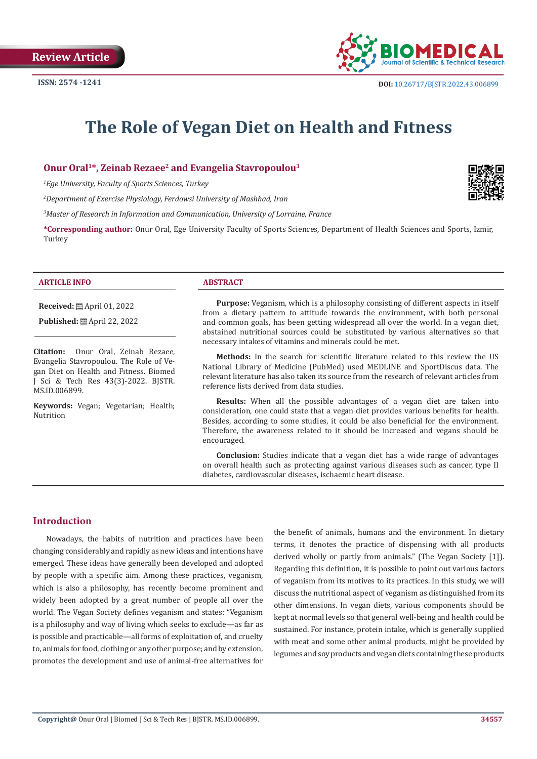

# **The Role of Vegan Diet on Health and Fıtness**

#### **Onur Oral1\*, Zeinab Rezaee2 and Evangelia Stavropoulou3**

*1 Ege University, Faculty of Sports Sciences, Turkey*

*2 Department of Exercise Physiology, Ferdowsi University of Mashhad, Iran*

*3 Master of Research in Information and Communication, University of Lorraine, France*

**\*Corresponding author:** Onur Oral, Ege University Faculty of Sports Sciences, Department of Health Sciences and Sports, Izmir, Turkey

#### **ARTICLE INFO ABSTRACT**

**Received:** April 01, 2022

**Published:** ■ April 22, 2022

**Citation:** Onur Oral, Zeinab Rezaee, Evangelia Stavropoulou. The Role of Vegan Diet on Health and Fıtness. Biomed J Sci & Tech Res 43(3)-2022. BJSTR. MS.ID.006899.

**Keywords:** Vegan; Vegetarian; Health; Nutrition

**Purpose:** Veganism, which is a philosophy consisting of different aspects in itself from a dietary pattern to attitude towards the environment, with both personal and common goals, has been getting widespread all over the world. In a vegan diet, abstained nutritional sources could be substituted by various alternatives so that necessary intakes of vitamins and minerals could be met.

**Methods:** In the search for scientific literature related to this review the US National Library of Medicine (PubMed) used MEDLINE and SportDiscus data. The relevant literature has also taken its source from the research of relevant articles from reference lists derived from data studies.

**Results:** When all the possible advantages of a vegan diet are taken into consideration, one could state that a vegan diet provides various benefits for health. Besides, according to some studies, it could be also beneficial for the environment. Therefore, the awareness related to it should be increased and vegans should be encouraged.

**Conclusion:** Studies indicate that a vegan diet has a wide range of advantages on overall health such as protecting against various diseases such as cancer, type II diabetes, cardiovascular diseases, ischaemic heart disease.

#### **Introduction**

Nowadays, the habits of nutrition and practices have been changing considerably and rapidly as new ideas and intentions have emerged. These ideas have generally been developed and adopted by people with a specific aim. Among these practices, veganism, which is also a philosophy, has recently become prominent and widely been adopted by a great number of people all over the world. The Vegan Society defines veganism and states: "Veganism is a philosophy and way of living which seeks to exclude—as far as is possible and practicable—all forms of exploitation of, and cruelty to, animals for food, clothing or any other purpose; and by extension, promotes the development and use of animal-free alternatives for

the benefit of animals, humans and the environment. In dietary terms, it denotes the practice of dispensing with all products derived wholly or partly from animals." (The Vegan Society [1]). Regarding this definition, it is possible to point out various factors of veganism from its motives to its practices. In this study, we will discuss the nutritional aspect of veganism as distinguished from its other dimensions. In vegan diets, various components should be kept at normal levels so that general well-being and health could be sustained. For instance, protein intake, which is generally supplied with meat and some other animal products, might be provided by legumes and soy products and vegan diets containing these products

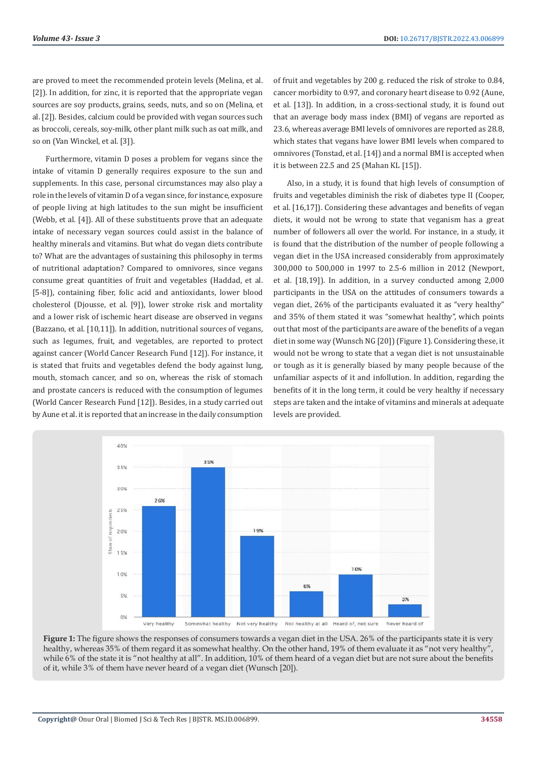are proved to meet the recommended protein levels (Melina, et al. [2]). In addition, for zinc, it is reported that the appropriate vegan sources are soy products, grains, seeds, nuts, and so on (Melina, et al. [2]). Besides, calcium could be provided with vegan sources such as broccoli, cereals, soy-milk, other plant milk such as oat milk, and so on (Van Winckel, et al. [3]).

Furthermore, vitamin D poses a problem for vegans since the intake of vitamin D generally requires exposure to the sun and supplements. In this case, personal circumstances may also play a role in the levels of vitamin D of a vegan since, for instance, exposure of people living at high latitudes to the sun might be insufficient (Webb, et al. [4]). All of these substituents prove that an adequate intake of necessary vegan sources could assist in the balance of healthy minerals and vitamins. But what do vegan diets contribute to? What are the advantages of sustaining this philosophy in terms of nutritional adaptation? Compared to omnivores, since vegans consume great quantities of fruit and vegetables (Haddad, et al. [5-8]), containing fiber, folic acid and antioxidants, lower blood cholesterol (Djousse, et al. [9]), lower stroke risk and mortality and a lower risk of ischemic heart disease are observed in vegans (Bazzano, et al. [10,11]). In addition, nutritional sources of vegans, such as legumes, fruit, and vegetables, are reported to protect against cancer (World Cancer Research Fund [12]). For instance, it is stated that fruits and vegetables defend the body against lung, mouth, stomach cancer, and so on, whereas the risk of stomach and prostate cancers is reduced with the consumption of legumes (World Cancer Research Fund [12]). Besides, in a study carried out by Aune et al. it is reported that an increase in the daily consumption

of fruit and vegetables by 200 g. reduced the risk of stroke to 0.84, cancer morbidity to 0.97, and coronary heart disease to 0.92 (Aune, et al. [13]). In addition, in a cross-sectional study, it is found out that an average body mass index (BMI) of vegans are reported as 23.6, whereas average BMI levels of omnivores are reported as 28.8, which states that vegans have lower BMI levels when compared to omnivores (Tonstad, et al. [14]) and a normal BMI is accepted when it is between 22.5 and 25 (Mahan KL [15]).

Also, in a study, it is found that high levels of consumption of fruits and vegetables diminish the risk of diabetes type II (Cooper, et al. [16,17]). Considering these advantages and benefits of vegan diets, it would not be wrong to state that veganism has a great number of followers all over the world. For instance, in a study, it is found that the distribution of the number of people following a vegan diet in the USA increased considerably from approximately 300,000 to 500,000 in 1997 to 2.5-6 million in 2012 (Newport, et al. [18,19]). In addition, in a survey conducted among 2,000 participants in the USA on the attitudes of consumers towards a vegan diet, 26% of the participants evaluated it as "very healthy" and 35% of them stated it was "somewhat healthy", which points out that most of the participants are aware of the benefits of a vegan diet in some way (Wunsch NG [20]) (Figure 1). Considering these, it would not be wrong to state that a vegan diet is not unsustainable or tough as it is generally biased by many people because of the unfamiliar aspects of it and infollution. In addition, regarding the benefits of it in the long term, it could be very healthy if necessary steps are taken and the intake of vitamins and minerals at adequate levels are provided.



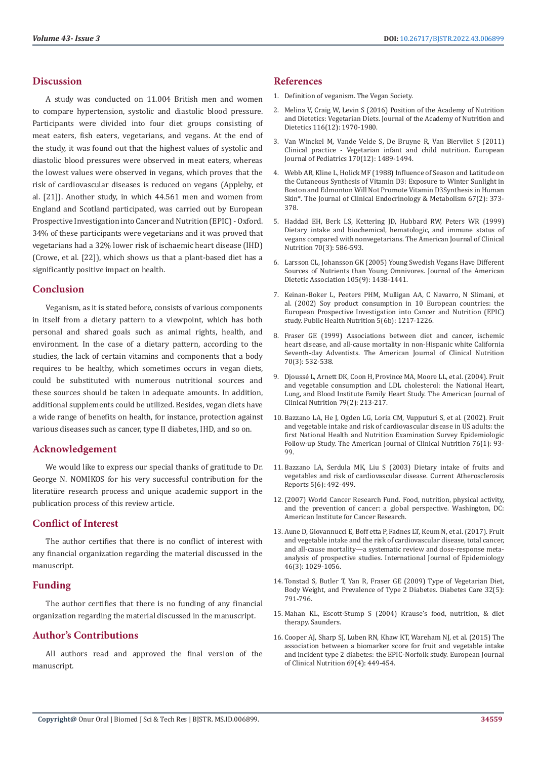### **Discussion**

A study was conducted on 11.004 British men and women to compare hypertension, systolic and diastolic blood pressure. Participants were divided into four diet groups consisting of meat eaters, fish eaters, vegetarians, and vegans. At the end of the study, it was found out that the highest values of systolic and diastolic blood pressures were observed in meat eaters, whereas the lowest values were observed in vegans, which proves that the risk of cardiovascular diseases is reduced on vegans (Appleby, et al. [21]). Another study, in which 44.561 men and women from England and Scotland participated, was carried out by European Prospective Investigation into Cancer and Nutrition (EPIC) - Oxford. 34% of these participants were vegetarians and it was proved that vegetarians had a 32% lower risk of ischaemic heart disease (IHD) (Crowe, et al. [22]), which shows us that a plant-based diet has a significantly positive impact on health.

#### **Conclusion**

Veganism, as it is stated before, consists of various components in itself from a dietary pattern to a viewpoint, which has both personal and shared goals such as animal rights, health, and environment. In the case of a dietary pattern, according to the studies, the lack of certain vitamins and components that a body requires to be healthy, which sometimes occurs in vegan diets, could be substituted with numerous nutritional sources and these sources should be taken in adequate amounts. In addition, additional supplements could be utilized. Besides, vegan diets have a wide range of benefits on health, for instance, protection against various diseases such as cancer, type II diabetes, IHD, and so on.

# **Acknowledgement**

We would like to express our special thanks of gratitude to Dr. George N. NOMIKOS for his very successful contribution for the literatüre research process and unique academic support in the publication process of this review article.

# **Conflict of Interest**

The author certifies that there is no conflict of interest with any financial organization regarding the material discussed in the manuscript.

# **Funding**

The author certifies that there is no funding of any financial organization regarding the material discussed in the manuscript.

# **Author's Contributions**

All authors read and approved the final version of the manuscript.

## **References**

- 1. [Definition of veganism. The Vegan Society.](https://www.vegansociety.com/go-vegan/definition-veganism)
- 2. [Melina V, Craig W, Levin S \(2016\) Position of the Academy of Nutrition](https://pubmed.ncbi.nlm.nih.gov/27886704/) [and Dietetics: Vegetarian Diets. Journal of the Academy of Nutrition and](https://pubmed.ncbi.nlm.nih.gov/27886704/) [Dietetics 116\(12\): 1970-1980.](https://pubmed.ncbi.nlm.nih.gov/27886704/)
- 3. [Van Winckel M, Vande Velde S, De Bruyne R, Van Biervliet S \(2011\)](https://link.springer.com/article/10.1007/s00431-011-1547-x) [Clinical practice - Vegetarian infant and child nutrition. European](https://link.springer.com/article/10.1007/s00431-011-1547-x) [Journal of Pediatrics 170\(12\): 1489-1494.](https://link.springer.com/article/10.1007/s00431-011-1547-x)
- 4. [Webb AR, Kline L, Holick MF \(1988\) Influence of Season and Latitude on](https://pubmed.ncbi.nlm.nih.gov/2839537/) [the Cutaneous Synthesis of Vitamin D3: Exposure to Winter Sunlight in](https://pubmed.ncbi.nlm.nih.gov/2839537/) [Boston and Edmonton Will Not Promote Vitamin D3Synthesis in Human](https://pubmed.ncbi.nlm.nih.gov/2839537/) Skin\*[. The Journal of Clinical Endocrinology & Metabolism 67\(2\): 373-](https://pubmed.ncbi.nlm.nih.gov/2839537/) [378.](https://pubmed.ncbi.nlm.nih.gov/2839537/)
- 5. [Haddad EH, Berk LS, Kettering JD, Hubbard RW, Peters WR \(1999\)](https://academic.oup.com/ajcn/article/70/3/586s/4715027) [Dietary intake and biochemical, hematologic, and immune status of](https://academic.oup.com/ajcn/article/70/3/586s/4715027) [vegans compared with nonvegetarians. The American Journal of Clinical](https://academic.oup.com/ajcn/article/70/3/586s/4715027) [Nutrition 70\(3\): 586-593.](https://academic.oup.com/ajcn/article/70/3/586s/4715027)
- 6. [Larsson CL, Johansson GK \(2005\) Young Swedish Vegans Have Different](https://www.jandonline.org/article/S0002-8223(05)01152-1/fulltext) [Sources of Nutrients than Young Omnivores. Journal of the American](https://www.jandonline.org/article/S0002-8223(05)01152-1/fulltext) [Dietetic Association 105\(9\): 1438-1441.](https://www.jandonline.org/article/S0002-8223(05)01152-1/fulltext)
- 7. [Keinan-Boker L, Peeters PHM, Mulligan AA, C Navarro, N Slimani, et](https://www.cambridge.org/core/journals/public-health-nutrition/article/soy-product-consumption-in-10-european-countries-the-european-prospective-investigation-into-cancer-and-nutrition-epic-study/D616DC8B95A2FD1C21F5C61B0E4FB06C) [al. \(2002\) Soy product consumption in 10 European countries: the](https://www.cambridge.org/core/journals/public-health-nutrition/article/soy-product-consumption-in-10-european-countries-the-european-prospective-investigation-into-cancer-and-nutrition-epic-study/D616DC8B95A2FD1C21F5C61B0E4FB06C) [European Prospective Investigation into Cancer and Nutrition \(EPIC\)](https://www.cambridge.org/core/journals/public-health-nutrition/article/soy-product-consumption-in-10-european-countries-the-european-prospective-investigation-into-cancer-and-nutrition-epic-study/D616DC8B95A2FD1C21F5C61B0E4FB06C) [study. Public Health Nutrition 5\(6b\): 1217-1226.](https://www.cambridge.org/core/journals/public-health-nutrition/article/soy-product-consumption-in-10-european-countries-the-european-prospective-investigation-into-cancer-and-nutrition-epic-study/D616DC8B95A2FD1C21F5C61B0E4FB06C)
- 8. [Fraser GE \(1999\) Associations between diet and cancer, ischemic](https://academic.oup.com/ajcn/article/70/3/532s/4714987) [heart disease, and all-cause mortality in non-Hispanic white California](https://academic.oup.com/ajcn/article/70/3/532s/4714987) [Seventh-day Adventists. The American Journal of Clinical Nutrition](https://academic.oup.com/ajcn/article/70/3/532s/4714987) [70\(3\): 532-538.](https://academic.oup.com/ajcn/article/70/3/532s/4714987)
- 9. Djoussé [L, Arnett DK, Coon H, Province MA, Moore LL, et al. \(2004\). Fruit](https://doi.org/10.1093/ajcn/79.2.213) [and vegetable consumption and LDL cholesterol: the National Heart,](https://doi.org/10.1093/ajcn/79.2.213) [Lung, and Blood Institute Family Heart Study. The American Journal of](https://doi.org/10.1093/ajcn/79.2.213) [Clinical Nutrition 79\(2\): 213-217.](https://doi.org/10.1093/ajcn/79.2.213)
- 10. [Bazzano LA, He J, Ogden LG, Loria CM, Vupputuri S, et al. \(2002\). Fruit](https://academic.oup.com/ajcn/article/76/1/93/4689465) [and vegetable intake and risk of cardiovascular disease in US adults: the](https://academic.oup.com/ajcn/article/76/1/93/4689465) [first National Health and Nutrition Examination Survey Epidemiologic](https://academic.oup.com/ajcn/article/76/1/93/4689465) [Follow-up Study. The American Journal of Clinical Nutrition 76\(1\): 93-](https://academic.oup.com/ajcn/article/76/1/93/4689465) [99.](https://academic.oup.com/ajcn/article/76/1/93/4689465)
- 11. [Bazzano LA, Serdula MK, Liu S \(2003\) Dietary intake of fruits and](https://link.springer.com/article/10.1007/s11883-003-0040-z) [vegetables and risk of cardiovascular disease. Current Atherosclerosis](https://link.springer.com/article/10.1007/s11883-003-0040-z) [Reports 5\(6\): 492-499.](https://link.springer.com/article/10.1007/s11883-003-0040-z)
- 12.(2007) World Cancer Research Fund. Food, nutrition, physical activity, and the prevention of cancer: a global perspective. Washington, DC: American Institute for Cancer Research.
- 13. [Aune D, Giovannucci E, Boff etta P, Fadnes LT, Keum N, et al. \(2017\). Fruit](https://pubmed.ncbi.nlm.nih.gov/28338764/) [and vegetable intake and the risk of cardiovascular disease, total cancer,](https://pubmed.ncbi.nlm.nih.gov/28338764/) [and all-cause mortality—a systematic review and dose-response meta](https://pubmed.ncbi.nlm.nih.gov/28338764/)[analysis of prospective studies. International Journal of Epidemiology](https://pubmed.ncbi.nlm.nih.gov/28338764/) [46\(3\): 1029-1056.](https://pubmed.ncbi.nlm.nih.gov/28338764/)
- 14. [Tonstad S, Butler T, Yan R, Fraser GE \(2009\) Type of Vegetarian Diet,](https://diabetesjournals.org/care/article/32/5/791/29593/Type-of-Vegetarian-Diet-Body-Weight-and-Prevalence) [Body Weight, and Prevalence of Type 2 Diabetes. Diabetes Care 32\(5\):](https://diabetesjournals.org/care/article/32/5/791/29593/Type-of-Vegetarian-Diet-Body-Weight-and-Prevalence) [791-796.](https://diabetesjournals.org/care/article/32/5/791/29593/Type-of-Vegetarian-Diet-Body-Weight-and-Prevalence)
- 15. Mahan KL, Escott-Stump S (2004) Krause's food, nutrition, & diet therapy. Saunders.
- 16. [Cooper AJ, Sharp SJ, Luben RN, Khaw KT, Wareham NJ, et al. \(2015\) The](https://pubmed.ncbi.nlm.nih.gov/25387899/) [association between a biomarker score for fruit and vegetable intake](https://pubmed.ncbi.nlm.nih.gov/25387899/) [and incident type 2 diabetes: the EPIC-Norfolk study. European Journal](https://pubmed.ncbi.nlm.nih.gov/25387899/) [of Clinical Nutrition 69\(4\): 449-454.](https://pubmed.ncbi.nlm.nih.gov/25387899/)